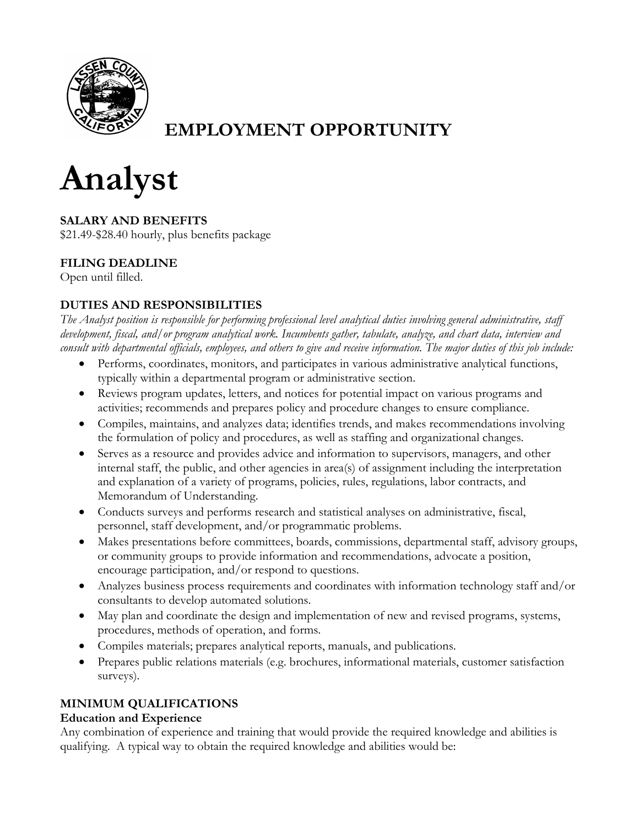

# **EMPLOYMENT OPPORTUNITY**



**SALARY AND BENEFITS** \$21.49-\$28.40 hourly, plus benefits package

## **FILING DEADLINE**

Open until filled.

## **DUTIES AND RESPONSIBILITIES**

*The Analyst position is responsible for performing professional level analytical duties involving general administrative, staff development, fiscal, and/or program analytical work. Incumbents gather, tabulate, analyze, and chart data, interview and consult with departmental officials, employees, and others to give and receive information. The major duties of this job include:*

- Performs, coordinates, monitors, and participates in various administrative analytical functions, typically within a departmental program or administrative section.
- Reviews program updates, letters, and notices for potential impact on various programs and activities; recommends and prepares policy and procedure changes to ensure compliance.
- Compiles, maintains, and analyzes data; identifies trends, and makes recommendations involving the formulation of policy and procedures, as well as staffing and organizational changes.
- Serves as a resource and provides advice and information to supervisors, managers, and other internal staff, the public, and other agencies in area(s) of assignment including the interpretation and explanation of a variety of programs, policies, rules, regulations, labor contracts, and Memorandum of Understanding.
- Conducts surveys and performs research and statistical analyses on administrative, fiscal, personnel, staff development, and/or programmatic problems.
- Makes presentations before committees, boards, commissions, departmental staff, advisory groups, or community groups to provide information and recommendations, advocate a position, encourage participation, and/or respond to questions.
- Analyzes business process requirements and coordinates with information technology staff and/or consultants to develop automated solutions.
- May plan and coordinate the design and implementation of new and revised programs, systems, procedures, methods of operation, and forms.
- Compiles materials; prepares analytical reports, manuals, and publications.
- Prepares public relations materials (e.g. brochures, informational materials, customer satisfaction surveys).

## **MINIMUM QUALIFICATIONS**

### **Education and Experience**

Any combination of experience and training that would provide the required knowledge and abilities is qualifying. A typical way to obtain the required knowledge and abilities would be: